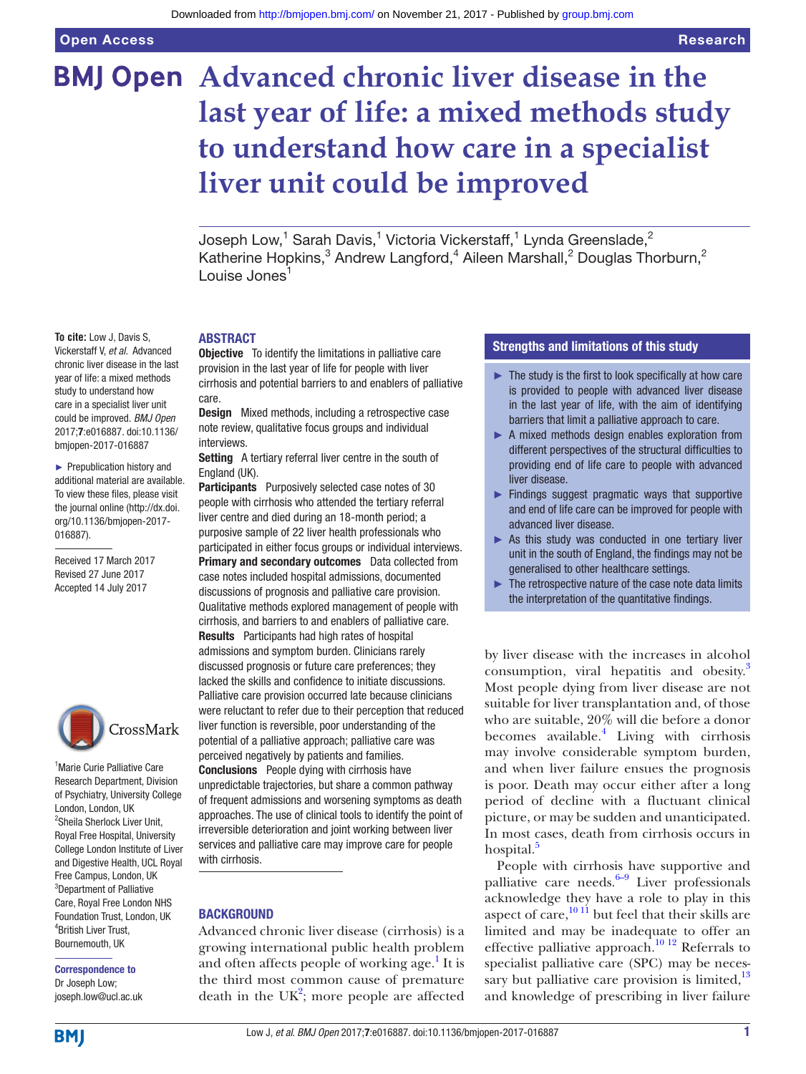# **BMJ Open** Advanced chronic liver disease in the **last year of life: a mixed methods study to understand how care in a specialist liver unit could be improved**

Joseph Low, $^1$  Sarah Davis, $^1$  Victoria Vickerstaff, $^1$  Lynda Greenslade, $^2$ Katherine Hopkins,<sup>3</sup> Andrew Langford,<sup>4</sup> Aileen Marshall,<sup>2</sup> Douglas Thorburn,<sup>2</sup> Louise Jones<sup>1</sup>

#### **ABSTRACT**

**Objective** To identify the limitations in palliative care provision in the last year of life for people with liver cirrhosis and potential barriers to and enablers of palliative care.

**Design** Mixed methods, including a retrospective case note review, qualitative focus groups and individual interviews.

Setting A tertiary referral liver centre in the south of England (UK).

Participants Purposively selected case notes of 30 people with cirrhosis who attended the tertiary referral liver centre and died during an 18-month period; a purposive sample of 22 liver health professionals who participated in either focus groups or individual interviews. Primary and secondary outcomes Data collected from case notes included hospital admissions, documented discussions of prognosis and palliative care provision. Qualitative methods explored management of people with cirrhosis, and barriers to and enablers of palliative care. Results Participants had high rates of hospital admissions and symptom burden. Clinicians rarely discussed prognosis or future care preferences; they lacked the skills and confidence to initiate discussions. Palliative care provision occurred late because clinicians were reluctant to refer due to their perception that reduced liver function is reversible, poor understanding of the potential of a palliative approach; palliative care was perceived negatively by patients and families. Conclusions People dying with cirrhosis have unpredictable trajectories, but share a common pathway of frequent admissions and worsening symptoms as death approaches. The use of clinical tools to identify the point of irreversible deterioration and joint working between liver services and palliative care may improve care for people with cirrhosis.

## **BACKGROUND**

Advanced chronic liver disease (cirrhosis) is a growing international public health problem and often affects people of working age.<sup>[1](#page-6-0)</sup> It is the third most common cause of premature death in the UK<sup>2</sup>; more people are affected

#### Strengths and limitations of this study

- $\blacktriangleright$  The study is the first to look specifically at how care is provided to people with advanced liver disease in the last year of life, with the aim of identifying barriers that limit a palliative approach to care.
- ► A mixed methods design enables exploration from different perspectives of the structural difficulties to providing end of life care to people with advanced liver disease.
- ► Findings suggest pragmatic ways that supportive and end of life care can be improved for people with advanced liver disease.
- ► As this study was conducted in one tertiary liver unit in the south of England, the findings may not be generalised to other healthcare settings.
- ► The retrospective nature of the case note data limits the interpretation of the quantitative findings.

by liver disease with the increases in alcohol consumption, viral hepatitis and obesity.<sup>3</sup> Most people dying from liver disease are not suitable for liver transplantation and, of those who are suitable, 20% will die before a donor becomes available.<sup>[4](#page-6-3)</sup> Living with cirrhosis may involve considerable symptom burden, and when liver failure ensues the prognosis is poor. Death may occur either after a long period of decline with a fluctuant clinical picture, or may be sudden and unanticipated. In most cases, death from cirrhosis occurs in hospital.<sup>[5](#page-6-4)</sup>

People with cirrhosis have supportive and palliative care needs. $6-9$  Liver professionals acknowledge they have a role to play in this aspect of care, $\frac{10 \text{ 11}}{10}$  but feel that their skills are limited and may be inadequate to offer an effective palliative approach.<sup>[10 12](#page-7-1)</sup> Referrals to specialist palliative care (SPC) may be necessary but palliative care provision is limited, $^{13}$  $^{13}$  $^{13}$ and knowledge of prescribing in liver failure

**To cite:** Low J, Davis S, Vickerstaff V, *et al*. Advanced chronic liver disease in the last year of life: a mixed methods study to understand how care in a specialist liver unit could be improved. *BMJ Open* 2017;7:e016887. doi:10.1136/ bmjopen-2017-016887

► Prepublication history and additional material are available. To view these files, please visit the journal online [\(http://dx.doi.](http://dx.doi.org/10.1136/bmjopen-2017-016887) [org/10.1136/bmjopen-2017-](http://dx.doi.org/10.1136/bmjopen-2017-016887) [016887\)](http://dx.doi.org/10.1136/bmjopen-2017-016887).

Received 17 March 2017 Revised 27 June 2017 Accepted 14 July 2017



<sup>1</sup> Marie Curie Palliative Care Research Department, Division of Psychiatry, University College London, London, UK <sup>2</sup>Sheila Sherlock Liver Unit, Royal Free Hospital, University College London Institute of Liver and Digestive Health, UCL Royal Free Campus, London, UK 3 Department of Palliative Care, Royal Free London NHS Foundation Trust, London, UK 4 British Liver Trust, Bournemouth, UK

Correspondence to Dr Joseph Low; joseph.low@ucl.ac.uk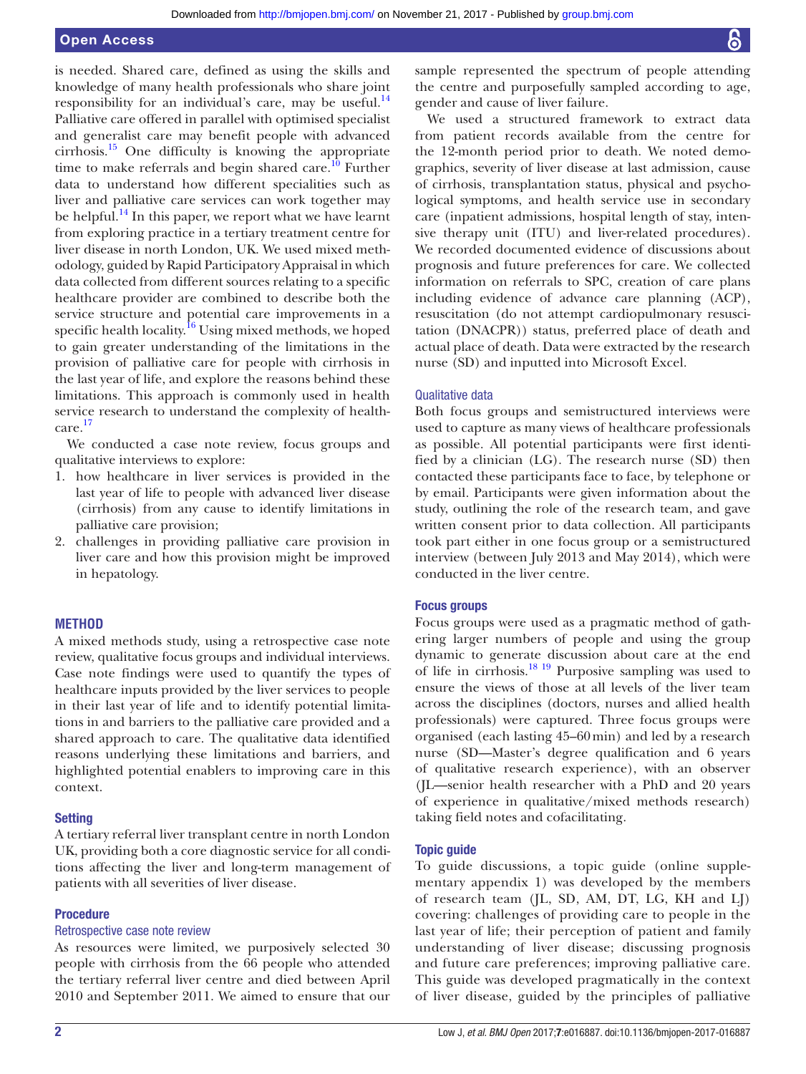is needed. Shared care, defined as using the skills and knowledge of many health professionals who share joint responsibility for an individual's care, may be useful. $14$ Palliative care offered in parallel with optimised specialist and generalist care may benefit people with advanced cirrhosis.[15](#page-7-4) One difficulty is knowing the appropriate time to make referrals and begin shared care.<sup>10</sup> Further data to understand how different specialities such as liver and palliative care services can work together may be helpful.<sup>14</sup> In this paper, we report what we have learnt from exploring practice in a tertiary treatment centre for liver disease in north London, UK. We used mixed methodology, guided by Rapid Participatory Appraisal in which data collected from different sources relating to a specific healthcare provider are combined to describe both the service structure and potential care improvements in a specific health locality.<sup>16</sup> Using mixed methods, we hoped to gain greater understanding of the limitations in the provision of palliative care for people with cirrhosis in the last year of life, and explore the reasons behind these limitations. This approach is commonly used in health service research to understand the complexity of healthcare. [17](#page-7-6)

We conducted a case note review, focus groups and qualitative interviews to explore:

- 1. how healthcare in liver services is provided in the last year of life to people with advanced liver disease (cirrhosis) from any cause to identify limitations in palliative care provision;
- 2. challenges in providing palliative care provision in liver care and how this provision might be improved in hepatology.

#### **Method**

A mixed methods study, using a retrospective case note review, qualitative focus groups and individual interviews. Case note findings were used to quantify the types of healthcare inputs provided by the liver services to people in their last year of life and to identify potential limitations in and barriers to the palliative care provided and a shared approach to care. The qualitative data identified reasons underlying these limitations and barriers, and highlighted potential enablers to improving care in this context.

#### **Setting**

A tertiary referral liver transplant centre in north London UK, providing both a core diagnostic service for all conditions affecting the liver and long-term management of patients with all severities of liver disease.

#### **Procedure**

#### Retrospective case note review

As resources were limited, we purposively selected 30 people with cirrhosis from the 66 people who attended the tertiary referral liver centre and died between April 2010 and September 2011. We aimed to ensure that our

sample represented the spectrum of people attending the centre and purposefully sampled according to age, gender and cause of liver failure.

We used a structured framework to extract data from patient records available from the centre for the 12-month period prior to death. We noted demographics, severity of liver disease at last admission, cause of cirrhosis, transplantation status, physical and psychological symptoms, and health service use in secondary care (inpatient admissions, hospital length of stay, intensive therapy unit (ITU) and liver-related procedures). We recorded documented evidence of discussions about prognosis and future preferences for care. We collected information on referrals to SPC, creation of care plans including evidence of advance care planning (ACP), resuscitation (do not attempt cardiopulmonary resuscitation (DNACPR)) status, preferred place of death and actual place of death. Data were extracted by the research nurse (SD) and inputted into Microsoft Excel.

#### Qualitative data

Both focus groups and semistructured interviews were used to capture as many views of healthcare professionals as possible. All potential participants were first identified by a clinician (LG). The research nurse (SD) then contacted these participants face to face, by telephone or by email. Participants were given information about the study, outlining the role of the research team, and gave written consent prior to data collection. All participants took part either in one focus group or a semistructured interview (between July 2013 and May 2014), which were conducted in the liver centre.

#### Focus groups

Focus groups were used as a pragmatic method of gathering larger numbers of people and using the group dynamic to generate discussion about care at the end of life in cirrhosis.<sup>[18 19](#page-7-7)</sup> Purposive sampling was used to ensure the views of those at all levels of the liver team across the disciplines (doctors, nurses and allied health professionals) were captured. Three focus groups were organised (each lasting 45–60min) and led by a research nurse (SD—Master's degree qualification and 6 years of qualitative research experience), with an observer (JL—senior health researcher with a PhD and 20 years of experience in qualitative/mixed methods research) taking field notes and cofacilitating.

#### Topic guide

To guide discussions, a topic guide (online [supple](https://dx.doi.org/10.1136/bmjopen-2017-016887)[mentary appendix 1\)](https://dx.doi.org/10.1136/bmjopen-2017-016887) was developed by the members of research team (JL, SD, AM, DT, LG, KH and LJ) covering: challenges of providing care to people in the last year of life; their perception of patient and family understanding of liver disease; discussing prognosis and future care preferences; improving palliative care. This guide was developed pragmatically in the context of liver disease, guided by the principles of palliative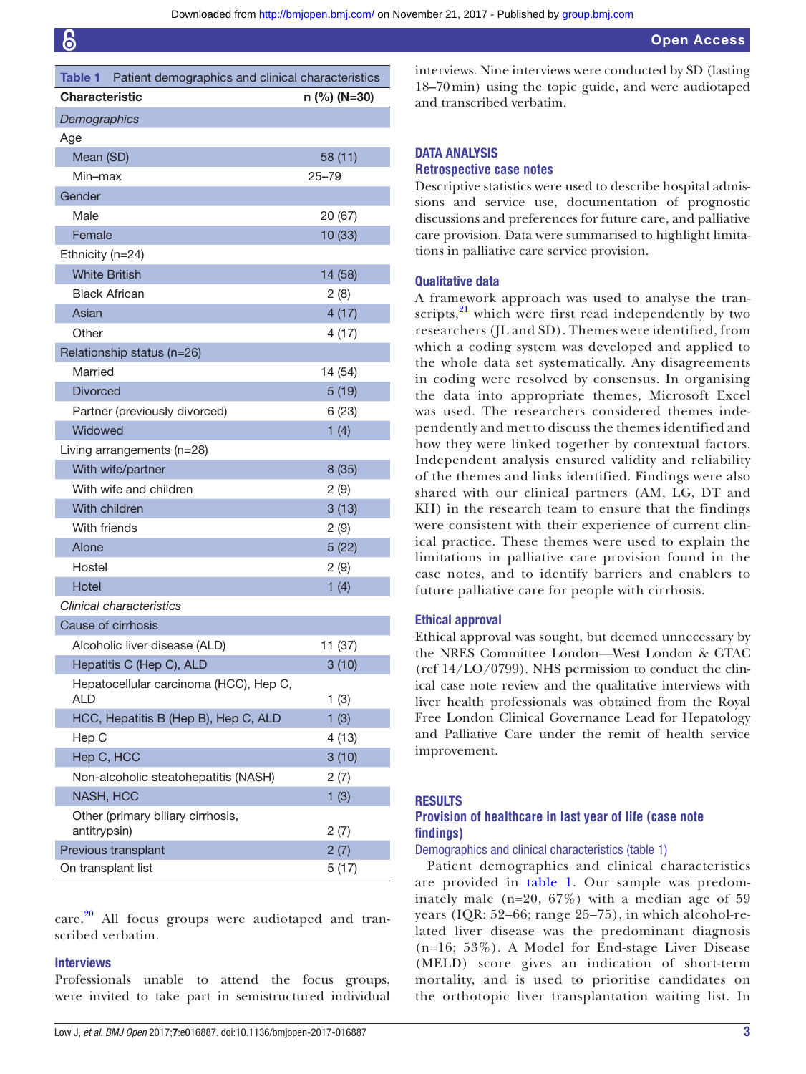<span id="page-2-0"></span>

| Patient demographics and clinical characteristics<br>Table 1 |                |
|--------------------------------------------------------------|----------------|
| <b>Characteristic</b>                                        | $n$ (%) (N=30) |
| Demographics                                                 |                |
| Age                                                          |                |
| Mean (SD)                                                    | 58 (11)        |
| Min-max                                                      | $25 - 79$      |
| Gender                                                       |                |
| Male                                                         | 20 (67)        |
| Female                                                       | 10 (33)        |
| Ethnicity ( $n=24$ )                                         |                |
| <b>White British</b>                                         | 14 (58)        |
| <b>Black African</b>                                         | 2(8)           |
| Asian                                                        | 4(17)          |
| Other                                                        | 4 (17)         |
| Relationship status (n=26)                                   |                |
| Married                                                      | 14 (54)        |
| <b>Divorced</b>                                              | 5(19)          |
| Partner (previously divorced)                                | 6 (23)         |
| Widowed                                                      | 1(4)           |
| Living arrangements (n=28)                                   |                |
| With wife/partner                                            | 8 (35)         |
| With wife and children                                       | 2(9)           |
| With children                                                | 3(13)          |
| With friends                                                 | 2(9)           |
| Alone                                                        | 5(22)          |
| Hostel                                                       | 2(9)           |
| <b>Hotel</b>                                                 | 1(4)           |
| Clinical characteristics                                     |                |
| Cause of cirrhosis                                           |                |
| Alcoholic liver disease (ALD)                                | 11 (37)        |
| Hepatitis C (Hep C), ALD                                     | 3(10)          |
| Hepatocellular carcinoma (HCC), Hep C,<br><b>ALD</b>         | 1(3)           |
| HCC, Hepatitis B (Hep B), Hep C, ALD                         | 1(3)           |
| Hep C                                                        | 4(13)          |
| Hep C, HCC                                                   | 3(10)          |
| Non-alcoholic steatohepatitis (NASH)                         | 2(7)           |
| NASH, HCC                                                    | 1(3)           |
| Other (primary biliary cirrhosis,<br>antitrypsin)            | 2(7)           |
| Previous transplant                                          | 2(7)           |
| On transplant list                                           | 5(17)          |

 $care.<sup>20</sup>$  $care.<sup>20</sup>$  $care.<sup>20</sup>$  All focus groups were audiotaped and transcribed verbatim.

#### **Interviews**

Professionals unable to attend the focus groups, were invited to take part in semistructured individual interviews. Nine interviews were conducted by SD (lasting 18–70min) using the topic guide, and were audiotaped and transcribed verbatim.

## DATA ANALYSIS **Retrospective case notes**

Descriptive statistics were used to describe hospital admissions and service use, documentation of prognostic discussions and preferences for future care, and palliative care provision. Data were summarised to highlight limitations in palliative care service provision.

## Qualitative data

A framework approach was used to analyse the transcripts, $^{21}$  which were first read independently by two researchers (JL and SD). Themes were identified, from which a coding system was developed and applied to the whole data set systematically. Any disagreements in coding were resolved by consensus. In organising the data into appropriate themes, Microsoft Excel was used. The researchers considered themes independently and met to discuss the themes identified and how they were linked together by contextual factors. Independent analysis ensured validity and reliability of the themes and links identified. Findings were also shared with our clinical partners (AM, LG, DT and KH) in the research team to ensure that the findings were consistent with their experience of current clinical practice. These themes were used to explain the limitations in palliative care provision found in the case notes, and to identify barriers and enablers to future palliative care for people with cirrhosis.

#### Ethical approval

Ethical approval was sought, but deemed unnecessary by the NRES Committee London—West London & GTAC (ref 14/LO/0799). NHS permission to conduct the clinical case note review and the qualitative interviews with liver health professionals was obtained from the Royal Free London Clinical Governance Lead for Hepatology and Palliative Care under the remit of health service improvement.

#### **RESULTS**

## **Provision of healthcare in last year of life (case note findings)**

Demographics and clinical characteristics (table 1)

Patient demographics and clinical characteristics are provided in [table](#page-2-0) 1. Our sample was predominately male  $(n=20, 67\%)$  with a median age of 59 years (IQR: 52–66; range 25–75), in which alcohol-related liver disease was the predominant diagnosis (n=16; 53%). A Model for End-stage Liver Disease (MELD) score gives an indication of short-term mortality, and is used to prioritise candidates on the orthotopic liver transplantation waiting list. In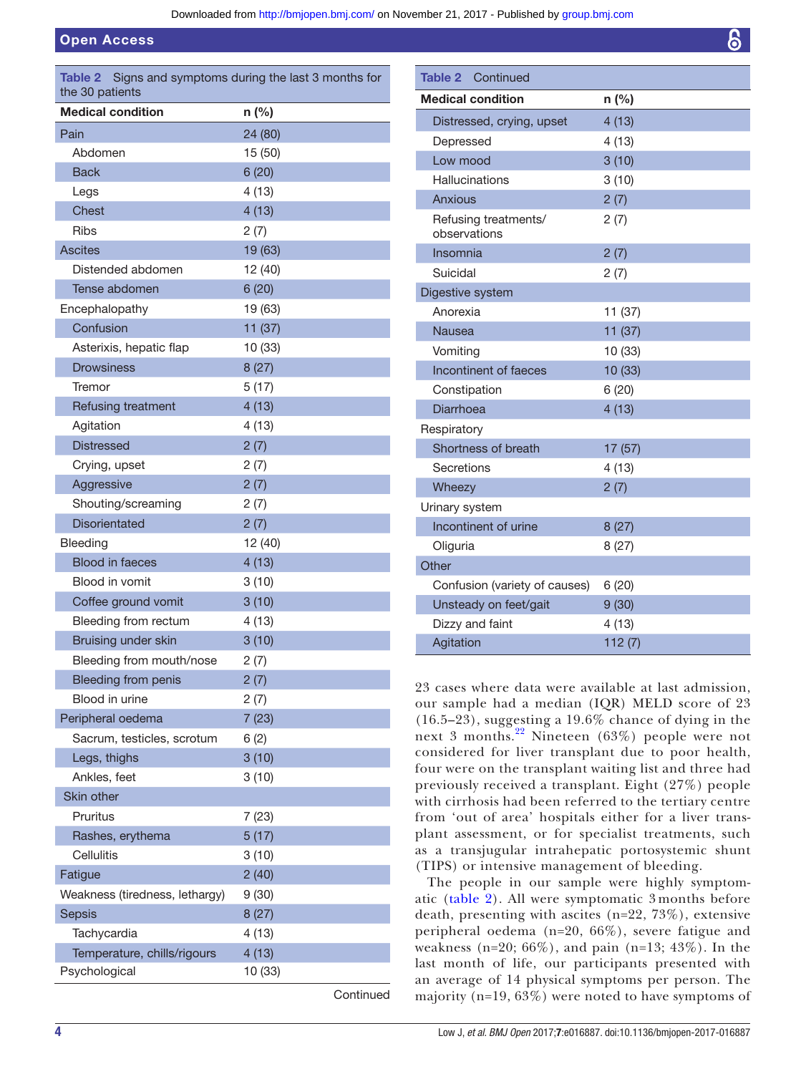Downloaded from<http://bmjopen.bmj.com/>on November 21, 2017 - Published by [group.bmj.com](http://group.bmj.com)

## Open Access

<span id="page-3-0"></span>

| Table 2<br>Signs and symptoms during the last 3 months for<br>the 30 patients |         |  |
|-------------------------------------------------------------------------------|---------|--|
| <b>Medical condition</b>                                                      | $n$ (%) |  |
| Pain                                                                          | 24 (80) |  |
| Abdomen                                                                       | 15 (50) |  |
| <b>Back</b>                                                                   | 6(20)   |  |
| Legs                                                                          | 4 (13)  |  |
| <b>Chest</b>                                                                  | 4(13)   |  |
| <b>Ribs</b>                                                                   | 2(7)    |  |
| <b>Ascites</b>                                                                | 19 (63) |  |
| Distended abdomen                                                             | 12 (40) |  |
| Tense abdomen                                                                 | 6(20)   |  |
| Encephalopathy                                                                | 19 (63) |  |
| Confusion                                                                     | 11(37)  |  |
| Asterixis, hepatic flap                                                       | 10 (33) |  |
| <b>Drowsiness</b>                                                             | 8(27)   |  |
| Tremor                                                                        | 5(17)   |  |
| Refusing treatment                                                            | 4(13)   |  |
| Agitation                                                                     | 4 (13)  |  |
| <b>Distressed</b>                                                             | 2(7)    |  |
| Crying, upset                                                                 | 2(7)    |  |
| Aggressive                                                                    | 2(7)    |  |
| Shouting/screaming                                                            | 2(7)    |  |
| <b>Disorientated</b>                                                          | 2(7)    |  |
| <b>Bleeding</b>                                                               | 12 (40) |  |
| <b>Blood in faeces</b>                                                        | 4(13)   |  |
| Blood in vomit                                                                | 3(10)   |  |
| Coffee ground vomit                                                           | 3(10)   |  |
| Bleeding from rectum                                                          | 4 (13)  |  |
| Bruising under skin                                                           | 3(10)   |  |
| Bleeding from mouth/nose                                                      | 2(7)    |  |
| <b>Bleeding from penis</b>                                                    | 2(7)    |  |
| Blood in urine                                                                | 2(7)    |  |
| Peripheral oedema                                                             | 7(23)   |  |
| Sacrum, testicles, scrotum                                                    | 6(2)    |  |
| Legs, thighs                                                                  | 3(10)   |  |
| Ankles, feet                                                                  | 3(10)   |  |
| Skin other                                                                    |         |  |
| Pruritus                                                                      | 7(23)   |  |
| Rashes, erythema                                                              | 5(17)   |  |
| Cellulitis                                                                    | 3(10)   |  |
| Fatigue                                                                       | 2(40)   |  |
| Weakness (tiredness, lethargy)                                                | 9(30)   |  |
| Sepsis                                                                        | 8(27)   |  |
| Tachycardia                                                                   | 4 (13)  |  |
| Temperature, chills/rigours                                                   | 4(13)   |  |
| Psychological                                                                 | 10 (33) |  |

**Continued** 

| <b>Table 2 Continued</b>             |         |
|--------------------------------------|---------|
| <b>Medical condition</b>             | n (%)   |
| Distressed, crying, upset            | 4 (13)  |
| Depressed                            | 4(13)   |
| Low mood                             | 3(10)   |
| Hallucinations                       | 3(10)   |
| <b>Anxious</b>                       | 2(7)    |
| Refusing treatments/<br>observations | 2(7)    |
| Insomnia                             | 2(7)    |
| Suicidal                             | 2(7)    |
| Digestive system                     |         |
| Anorexia                             | 11 (37) |
| <b>Nausea</b>                        | 11 (37) |
| Vomiting                             | 10 (33) |
| Incontinent of faeces                | 10 (33) |
| Constipation                         | 6(20)   |
| Diarrhoea                            | 4(13)   |
| Respiratory                          |         |
| Shortness of breath                  | 17 (57) |
| Secretions                           | 4(13)   |
| Wheezy                               | 2(7)    |
| Urinary system                       |         |
| Incontinent of urine                 | 8(27)   |
| Oliguria                             | 8(27)   |
| Other                                |         |
| Confusion (variety of causes)        | 6 (20)  |
| Unsteady on feet/gait                | 9(30)   |
| Dizzy and faint                      | 4 (13)  |
| Agitation                            | 112(7)  |

23 cases where data were available at last admission, our sample had a median (IQR) MELD score of 23 (16.5–23), suggesting a 19.6% chance of dying in the next 3 months.[22](#page-7-10) Nineteen (63%) people were not considered for liver transplant due to poor health, four were on the transplant waiting list and three had previously received a transplant. Eight (27%) people with cirrhosis had been referred to the tertiary centre from 'out of area' hospitals either for a liver transplant assessment, or for specialist treatments, such as a transjugular intrahepatic portosystemic shunt (TIPS) or intensive management of bleeding.

The people in our sample were highly symptomatic ([table](#page-3-0) 2). All were symptomatic 3 months before death, presenting with ascites (n=22, 73%), extensive peripheral oedema (n=20, 66%), severe fatigue and weakness (n=20; 66%), and pain (n=13; 43%). In the last month of life, our participants presented with an average of 14 physical symptoms per person. The majority (n=19, 63%) were noted to have symptoms of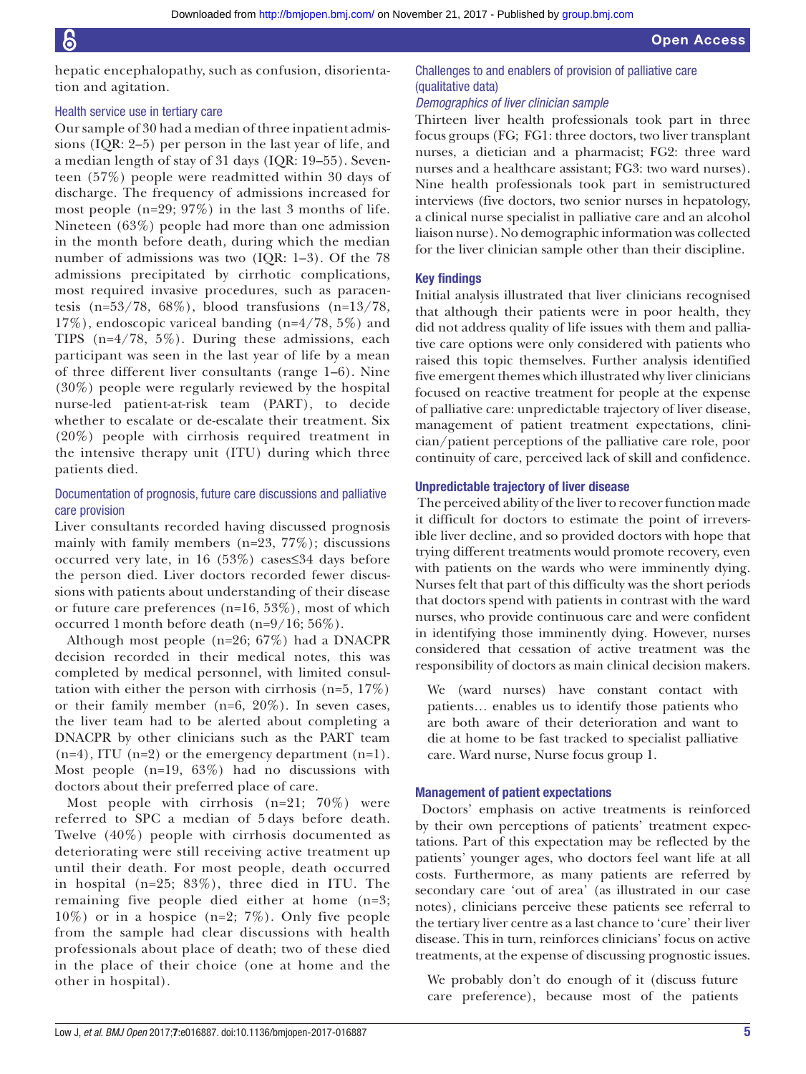hepatic encephalopathy, such as confusion, disorientation and agitation.

## Health service use in tertiary care

Our sample of 30 had a median of three inpatient admissions (IQR: 2–5) per person in the last year of life, and a median length of stay of 31 days (IQR: 19–55). Seventeen (57%) people were readmitted within 30 days of discharge. The frequency of admissions increased for most people  $(n=29; 97%)$  in the last 3 months of life. Nineteen (63%) people had more than one admission in the month before death, during which the median number of admissions was two (IQR: 1–3). Of the 78 admissions precipitated by cirrhotic complications, most required invasive procedures, such as paracentesis (n=53/78, 68%), blood transfusions (n= $13/78$ , 17%), endoscopic variceal banding (n=4/78, 5%) and TIPS (n=4/78, 5%). During these admissions, each participant was seen in the last year of life by a mean of three different liver consultants (range 1–6). Nine (30%) people were regularly reviewed by the hospital nurse-led patient-at-risk team (PART), to decide whether to escalate or de-escalate their treatment. Six (20%) people with cirrhosis required treatment in the intensive therapy unit (ITU) during which three patients died.

## Documentation of prognosis, future care discussions and palliative care provision

Liver consultants recorded having discussed prognosis mainly with family members  $(n=23, 77\%)$ ; discussions occurred very late, in 16 (53%) cases≤34 days before the person died. Liver doctors recorded fewer discussions with patients about understanding of their disease or future care preferences (n=16, 53%), most of which occurred 1 month before death (n=9/16; 56%).

Although most people (n=26; 67%) had a DNACPR decision recorded in their medical notes, this was completed by medical personnel, with limited consultation with either the person with cirrhosis (n=5, 17%) or their family member (n=6, 20%). In seven cases, the liver team had to be alerted about completing a DNACPR by other clinicians such as the PART team  $(n=4)$ , ITU  $(n=2)$  or the emergency department  $(n=1)$ . Most people (n=19, 63%) had no discussions with doctors about their preferred place of care.

Most people with cirrhosis (n=21; 70%) were referred to SPC a median of 5 days before death. Twelve (40%) people with cirrhosis documented as deteriorating were still receiving active treatment up until their death. For most people, death occurred in hospital (n=25; 83%), three died in ITU. The remaining five people died either at home (n=3; 10%) or in a hospice (n=2; 7%). Only five people from the sample had clear discussions with health professionals about place of death; two of these died in the place of their choice (one at home and the other in hospital).

## Challenges to and enablers of provision of palliative care (qualitative data)

## *Demographics of liver clinician sample*

Thirteen liver health professionals took part in three focus groups (FG; FG1: three doctors, two liver transplant nurses, a dietician and a pharmacist; FG2: three ward nurses and a healthcare assistant; FG3: two ward nurses). Nine health professionals took part in semistructured interviews (five doctors, two senior nurses in hepatology, a clinical nurse specialist in palliative care and an alcohol liaison nurse). No demographic information was collected for the liver clinician sample other than their discipline.

## Key findings

Initial analysis illustrated that liver clinicians recognised that although their patients were in poor health, they did not address quality of life issues with them and palliative care options were only considered with patients who raised this topic themselves. Further analysis identified five emergent themes which illustrated why liver clinicians focused on reactive treatment for people at the expense of palliative care: unpredictable trajectory of liver disease, management of patient treatment expectations, clinician/patient perceptions of the palliative care role, poor continuity of care, perceived lack of skill and confidence.

## Unpredictable trajectory of liver disease

The perceived ability of the liver to recover function made it difficult for doctors to estimate the point of irreversible liver decline, and so provided doctors with hope that trying different treatments would promote recovery, even with patients on the wards who were imminently dying. Nurses felt that part of this difficulty was the short periods that doctors spend with patients in contrast with the ward nurses, who provide continuous care and were confident in identifying those imminently dying. However, nurses considered that cessation of active treatment was the responsibility of doctors as main clinical decision makers.

We (ward nurses) have constant contact with patients… enables us to identify those patients who are both aware of their deterioration and want to die at home to be fast tracked to specialist palliative care. Ward nurse, Nurse focus group 1.

## Management of patient expectations

Doctors' emphasis on active treatments is reinforced by their own perceptions of patients' treatment expectations. Part of this expectation may be reflected by the patients' younger ages, who doctors feel want life at all costs. Furthermore, as many patients are referred by secondary care 'out of area' (as illustrated in our case notes), clinicians perceive these patients see referral to the tertiary liver centre as a last chance to 'cure' their liver disease. This in turn, reinforces clinicians' focus on active treatments, at the expense of discussing prognostic issues.

We probably don't do enough of it (discuss future care preference), because most of the patients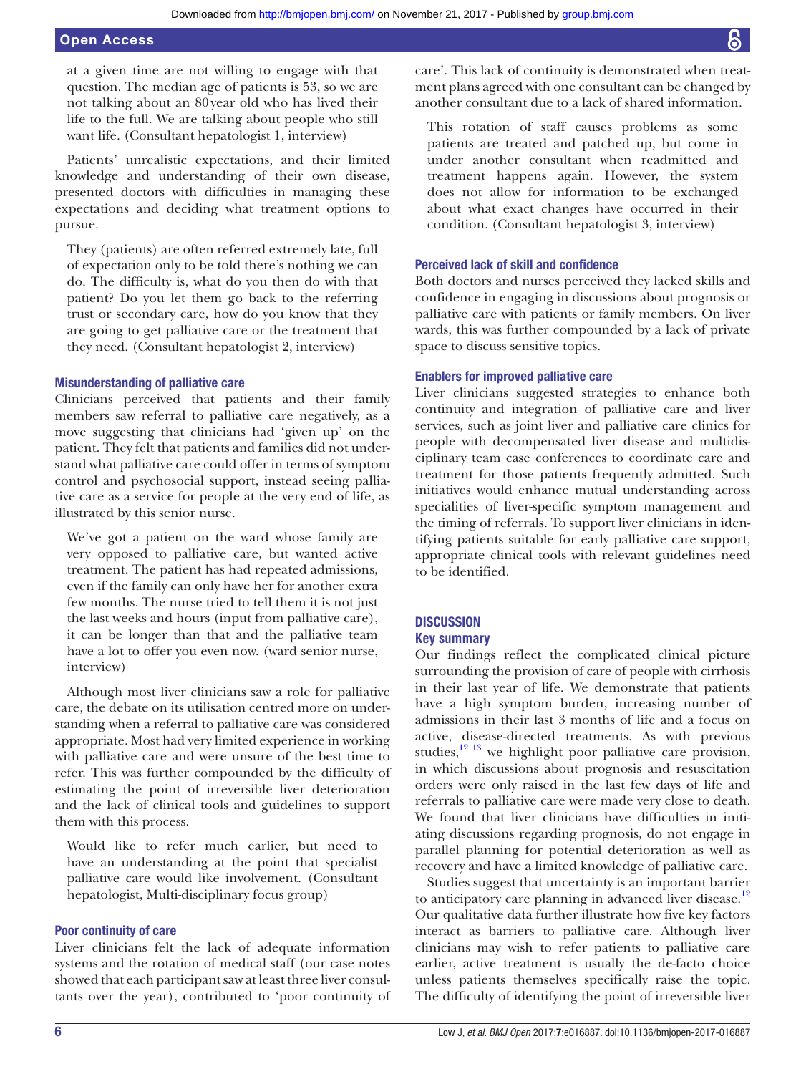at a given time are not willing to engage with that question. The median age of patients is 53, so we are not talking about an 80year old who has lived their life to the full. We are talking about people who still want life. (Consultant hepatologist 1, interview)

Patients' unrealistic expectations, and their limited knowledge and understanding of their own disease, presented doctors with difficulties in managing these expectations and deciding what treatment options to pursue.

They (patients) are often referred extremely late, full of expectation only to be told there's nothing we can do. The difficulty is, what do you then do with that patient? Do you let them go back to the referring trust or secondary care, how do you know that they are going to get palliative care or the treatment that they need. (Consultant hepatologist 2, interview)

## Misunderstanding of palliative care

Clinicians perceived that patients and their family members saw referral to palliative care negatively, as a move suggesting that clinicians had 'given up' on the patient. They felt that patients and families did not understand what palliative care could offer in terms of symptom control and psychosocial support, instead seeing palliative care as a service for people at the very end of life, as illustrated by this senior nurse.

We've got a patient on the ward whose family are very opposed to palliative care, but wanted active treatment. The patient has had repeated admissions, even if the family can only have her for another extra few months. The nurse tried to tell them it is not just the last weeks and hours (input from palliative care), it can be longer than that and the palliative team have a lot to offer you even now. (ward senior nurse, interview)

Although most liver clinicians saw a role for palliative care, the debate on its utilisation centred more on understanding when a referral to palliative care was considered appropriate. Most had very limited experience in working with palliative care and were unsure of the best time to refer. This was further compounded by the difficulty of estimating the point of irreversible liver deterioration and the lack of clinical tools and guidelines to support them with this process.

Would like to refer much earlier, but need to have an understanding at the point that specialist palliative care would like involvement. (Consultant hepatologist, Multi-disciplinary focus group)

## Poor continuity of care

Liver clinicians felt the lack of adequate information systems and the rotation of medical staff (our case notes showed that each participant saw at least three liver consultants over the year), contributed to 'poor continuity of care'. This lack of continuity is demonstrated when treatment plans agreed with one consultant can be changed by another consultant due to a lack of shared information.

This rotation of staff causes problems as some patients are treated and patched up, but come in under another consultant when readmitted and treatment happens again. However, the system does not allow for information to be exchanged about what exact changes have occurred in their condition. (Consultant hepatologist 3, interview)

## Perceived lack of skill and confidence

Both doctors and nurses perceived they lacked skills and confidence in engaging in discussions about prognosis or palliative care with patients or family members. On liver wards, this was further compounded by a lack of private space to discuss sensitive topics.

## Enablers for improved palliative care

Liver clinicians suggested strategies to enhance both continuity and integration of palliative care and liver services, such as joint liver and palliative care clinics for people with decompensated liver disease and multidisciplinary team case conferences to coordinate care and treatment for those patients frequently admitted. Such initiatives would enhance mutual understanding across specialities of liver-specific symptom management and the timing of referrals. To support liver clinicians in identifying patients suitable for early palliative care support, appropriate clinical tools with relevant guidelines need to be identified.

## **DISCUSSION**

## **Key summary**

Our findings reflect the complicated clinical picture surrounding the provision of care of people with cirrhosis in their last year of life. We demonstrate that patients have a high symptom burden, increasing number of admissions in their last 3 months of life and a focus on active, disease-directed treatments. As with previous studies, $12 \text{ } 13$  we highlight poor palliative care provision, in which discussions about prognosis and resuscitation orders were only raised in the last few days of life and referrals to palliative care were made very close to death. We found that liver clinicians have difficulties in initiating discussions regarding prognosis, do not engage in parallel planning for potential deterioration as well as recovery and have a limited knowledge of palliative care.

Studies suggest that uncertainty is an important barrier to anticipatory care planning in advanced liver disease.<sup>[12](#page-7-11)</sup> Our qualitative data further illustrate how five key factors interact as barriers to palliative care. Although liver clinicians may wish to refer patients to palliative care earlier, active treatment is usually the de-facto choice unless patients themselves specifically raise the topic. The difficulty of identifying the point of irreversible liver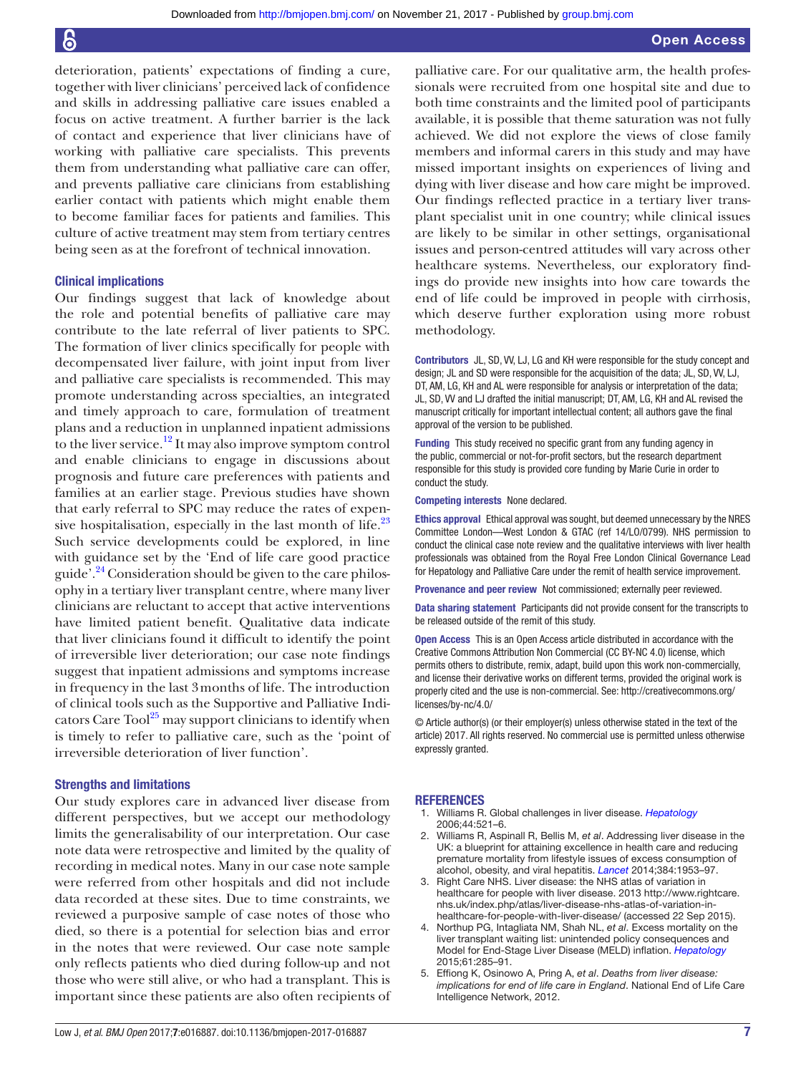deterioration, patients' expectations of finding a cure, together with liver clinicians' perceived lack of confidence and skills in addressing palliative care issues enabled a focus on active treatment. A further barrier is the lack of contact and experience that liver clinicians have of working with palliative care specialists. This prevents them from understanding what palliative care can offer, and prevents palliative care clinicians from establishing earlier contact with patients which might enable them to become familiar faces for patients and families. This culture of active treatment may stem from tertiary centres being seen as at the forefront of technical innovation.

#### Clinical implications

Our findings suggest that lack of knowledge about the role and potential benefits of palliative care may contribute to the late referral of liver patients to SPC. The formation of liver clinics specifically for people with decompensated liver failure, with joint input from liver and palliative care specialists is recommended. This may promote understanding across specialties, an integrated and timely approach to care, formulation of treatment plans and a reduction in unplanned inpatient admissions to the liver service.<sup>[12](#page-7-11)</sup> It may also improve symptom control and enable clinicians to engage in discussions about prognosis and future care preferences with patients and families at an earlier stage. Previous studies have shown that early referral to SPC may reduce the rates of expensive hospitalisation, especially in the last month of life. $2<sup>3</sup>$ Such service developments could be explored, in line with guidance set by the 'End of life care good practice guide'.<sup>24</sup> Consideration should be given to the care philosophy in a tertiary liver transplant centre, where many liver clinicians are reluctant to accept that active interventions have limited patient benefit. Qualitative data indicate that liver clinicians found it difficult to identify the point of irreversible liver deterioration; our case note findings suggest that inpatient admissions and symptoms increase in frequency in the last 3months of life. The introduction of clinical tools such as the Supportive and Palliative Indicators Care  $\text{Tool}^{\text{25}}$  may support clinicians to identify when is timely to refer to palliative care, such as the 'point of irreversible deterioration of liver function'.

#### Strengths and limitations

Our study explores care in advanced liver disease from different perspectives, but we accept our methodology limits the generalisability of our interpretation. Our case note data were retrospective and limited by the quality of recording in medical notes. Many in our case note sample were referred from other hospitals and did not include data recorded at these sites. Due to time constraints, we reviewed a purposive sample of case notes of those who died, so there is a potential for selection bias and error in the notes that were reviewed. Our case note sample only reflects patients who died during follow-up and not those who were still alive, or who had a transplant. This is important since these patients are also often recipients of palliative care. For our qualitative arm, the health professionals were recruited from one hospital site and due to both time constraints and the limited pool of participants available, it is possible that theme saturation was not fully achieved. We did not explore the views of close family members and informal carers in this study and may have missed important insights on experiences of living and dying with liver disease and how care might be improved. Our findings reflected practice in a tertiary liver transplant specialist unit in one country; while clinical issues are likely to be similar in other settings, organisational issues and person-centred attitudes will vary across other healthcare systems. Nevertheless, our exploratory findings do provide new insights into how care towards the end of life could be improved in people with cirrhosis, which deserve further exploration using more robust methodology.

Contributors JL, SD, VV, LJ, LG and KH were responsible for the study concept and design; JL and SD were responsible for the acquisition of the data; JL, SD, VV, LJ, DT, AM, LG, KH and AL were responsible for analysis or interpretation of the data; JL, SD, VV and LJ drafted the initial manuscript; DT, AM, LG, KH and AL revised the manuscript critically for important intellectual content; all authors gave the final approval of the version to be published.

Funding This study received no specific grant from any funding agency in the public, commercial or not-for-profit sectors, but the research department responsible for this study is provided core funding by Marie Curie in order to conduct the study.

#### Competing interests None declared.

Ethics approval Ethical approval was sought, but deemed unnecessary by the NRES Committee London—West London & GTAC (ref 14/LO/0799). NHS permission to conduct the clinical case note review and the qualitative interviews with liver health professionals was obtained from the Royal Free London Clinical Governance Lead for Hepatology and Palliative Care under the remit of health service improvement.

Provenance and peer review Not commissioned; externally peer reviewed.

Data sharing statement Participants did not provide consent for the transcripts to be released outside of the remit of this study.

Open Access This is an Open Access article distributed in accordance with the Creative Commons Attribution Non Commercial (CC BY-NC 4.0) license, which permits others to distribute, remix, adapt, build upon this work non-commercially, and license their derivative works on different terms, provided the original work is properly cited and the use is non-commercial. See: [http://creativecommons.org/](http://creativecommons.org/licenses/by-nc/4.0/) [licenses/by-nc/4.0/](http://creativecommons.org/licenses/by-nc/4.0/)

© Article author(s) (or their employer(s) unless otherwise stated in the text of the article) 2017. All rights reserved. No commercial use is permitted unless otherwise expressly granted.

#### **REFERENCES**

- <span id="page-6-0"></span>1. Williams R. Global challenges in liver disease. *[Hepatology](http://dx.doi.org/10.1002/hep.21347)* 2006;44:521–6.
- <span id="page-6-1"></span>2. Williams R, Aspinall R, Bellis M, *et al*. Addressing liver disease in the UK: a blueprint for attaining excellence in health care and reducing premature mortality from lifestyle issues of excess consumption of alcohol, obesity, and viral hepatitis. *[Lancet](http://dx.doi.org/10.1016/S0140-6736(14)61838-9)* 2014;384:1953–97.
- <span id="page-6-2"></span>3. Right Care NHS. Liver disease: the NHS atlas of variation in healthcare for people with liver disease. 2013 [http://www.rightcare.](http://www.rightcare.nhs.uk/index.php/atlas/liver-disease-nhs-atlas-of-variation-in-healthcare-for-people-with-liver-disease/) [nhs.uk/index.php/atlas/liver-disease-nhs-atlas-of-variation-in](http://www.rightcare.nhs.uk/index.php/atlas/liver-disease-nhs-atlas-of-variation-in-healthcare-for-people-with-liver-disease/)[healthcare-for-people-with-liver-disease/](http://www.rightcare.nhs.uk/index.php/atlas/liver-disease-nhs-atlas-of-variation-in-healthcare-for-people-with-liver-disease/) (accessed 22 Sep 2015).
- <span id="page-6-3"></span>4. Northup PG, Intagliata NM, Shah NL, *et al*. Excess mortality on the liver transplant waiting list: unintended policy consequences and Model for End-Stage Liver Disease (MELD) inflation. *[Hepatology](http://dx.doi.org/10.1002/hep.27283)* 2015;61:285–91.
- <span id="page-6-4"></span>5. Effiong K, Osinowo A, Pring A, *et al*. *Deaths from liver disease: implications for end of life care in England*. National End of Life Care Intelligence Network, 2012.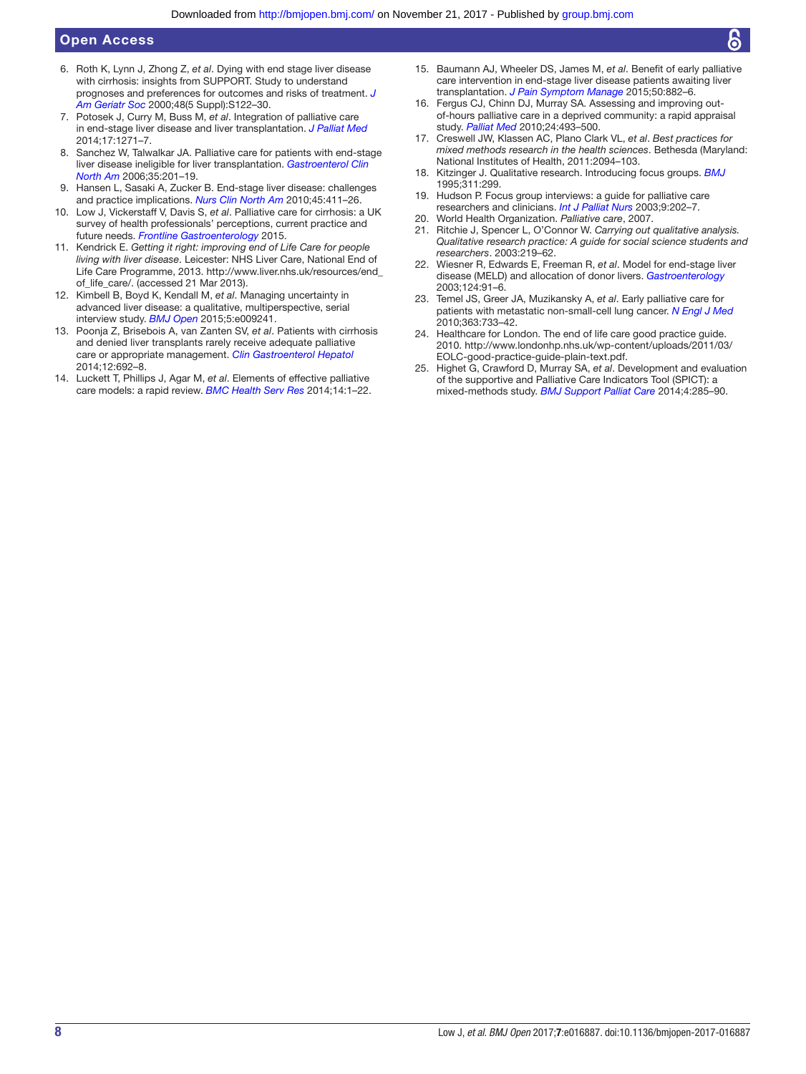## Open Access

- <span id="page-7-0"></span>6. Roth K, Lynn J, Zhong Z, *et al*. Dying with end stage liver disease with cirrhosis: insights from SUPPORT. Study to understand prognoses and preferences for outcomes and risks of treatment. *J Am Geriatr Soc* 2000;48(5 Suppl):S122–30.
- 7. Potosek J, Curry M, Buss M, *et al*. Integration of palliative care in end-stage liver disease and liver transplantation. *[J Palliat Med](http://dx.doi.org/10.1089/jpm.2013.0167)* 2014;17:1271–7.
- 8. Sanchez W, Talwalkar JA. Palliative care for patients with end-stage liver disease ineligible for liver transplantation. *[Gastroenterol Clin](http://dx.doi.org/10.1016/j.gtc.2005.12.007)  [North Am](http://dx.doi.org/10.1016/j.gtc.2005.12.007)* 2006;35:201–19.
- 9. Hansen L, Sasaki A, Zucker B. End-stage liver disease: challenges and practice implications. *[Nurs Clin North Am](http://dx.doi.org/10.1016/j.cnur.2010.03.005)* 2010;45:411–26.
- <span id="page-7-1"></span>10. Low J, Vickerstaff V, Davis S, *et al*. Palliative care for cirrhosis: a UK survey of health professionals' perceptions, current practice and future needs. *Frontline Gastroenterology* 2015.
- 11. Kendrick E. *Getting it right: improving end of Life Care for people living with liver disease*. Leicester: NHS Liver Care, National End of Life Care Programme, 2013. [http://www.liver.nhs.uk/resources/end\\_](http://www.liver.nhs.uk/resources/end_of_life_care/) of life\_care/. (accessed 21 Mar 2013).
- <span id="page-7-11"></span>12. Kimbell B, Boyd K, Kendall M, *et al*. Managing uncertainty in advanced liver disease: a qualitative, multiperspective, serial interview study. *[BMJ Open](http://dx.doi.org/10.1136/bmjopen-2015-009241)* 2015;5:e009241.
- <span id="page-7-2"></span>13. Poonja Z, Brisebois A, van Zanten SV, *et al*. Patients with cirrhosis and denied liver transplants rarely receive adequate palliative care or appropriate management. *[Clin Gastroenterol Hepatol](http://dx.doi.org/10.1016/j.cgh.2013.08.027)* 2014;12:692–8.
- <span id="page-7-3"></span>14. Luckett T, Phillips J, Agar M, *et al*. Elements of effective palliative care models: a rapid review. *[BMC Health Serv Res](http://dx.doi.org/10.1186/1472-6963-14-136)* 2014;14:1–22.
- <span id="page-7-4"></span>15. Baumann AJ, Wheeler DS, James M, *et al*. Benefit of early palliative care intervention in end-stage liver disease patients awaiting liver transplantation. *[J Pain Symptom Manage](http://dx.doi.org/10.1016/j.jpainsymman.2015.07.014)* 2015;50:882–6.
- <span id="page-7-5"></span>16. Fergus CJ, Chinn DJ, Murray SA. Assessing and improving outof-hours palliative care in a deprived community: a rapid appraisal study. *[Palliat Med](http://dx.doi.org/10.1177/0269216309356030)* 2010;24:493–500.
- <span id="page-7-6"></span>17. Creswell JW, Klassen AC, Plano Clark VL, *et al*. *Best practices for mixed methods research in the health sciences*. Bethesda (Maryland: National Institutes of Health, 2011:2094–103.
- <span id="page-7-7"></span>18. Kitzinger J. Qualitative research. Introducing focus groups. *BMJ* 1995;311:299.
- 19. Hudson P. Focus group interviews: a guide for palliative care researchers and clinicians. *[Int J Palliat Nurs](http://dx.doi.org/10.12968/ijpn.2003.9.5.11490)* 2003;9:202–7.
- <span id="page-7-8"></span>20. World Health Organization. *Palliative care*, 2007.
- <span id="page-7-9"></span>21. Ritchie J, Spencer L, O'Connor W. *Carrying out qualitative analysis. Qualitative research practice: A guide for social science students and researchers*. 2003:219–62.
- <span id="page-7-10"></span>22. Wiesner R, Edwards E, Freeman R, *et al*. Model for end-stage liver disease (MELD) and allocation of donor livers. *[Gastroenterology](http://dx.doi.org/10.1053/gast.2003.50016)* 2003;124:91–6.
- <span id="page-7-12"></span>23. Temel JS, Greer JA, Muzikansky A, *et al*. Early palliative care for patients with metastatic non-small-cell lung cancer. *[N Engl J Med](http://dx.doi.org/10.1056/NEJMoa1000678)* 2010;363:733–42.
- <span id="page-7-13"></span>24. Healthcare for London. The end of life care good practice guide. 2010. [http://www.londonhp.nhs.uk/wp-content/uploads/2011/03/](http://www.londonhp.nhs.uk/wp-content/uploads/2011/03/EOLC-good-practice-guide-plain-text.pdf) [EOLC-good-practice-guide-plain-text.pdf](http://www.londonhp.nhs.uk/wp-content/uploads/2011/03/EOLC-good-practice-guide-plain-text.pdf).
- <span id="page-7-14"></span>25. Highet G, Crawford D, Murray SA, *et al*. Development and evaluation of the supportive and Palliative Care Indicators Tool (SPICT): a mixed-methods study. *[BMJ Support Palliat Care](http://dx.doi.org/10.1136/bmjspcare-2013-000488)* 2014;4:285–90.